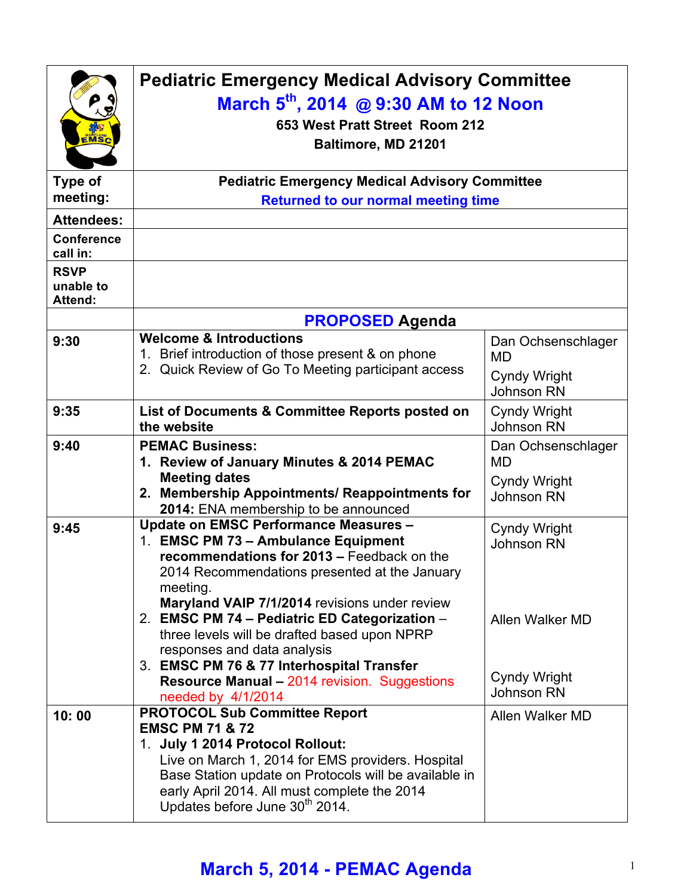| $\mathbf{\tilde{E}MSC}$                    | <b>Pediatric Emergency Medical Advisory Committee</b><br>March 5 <sup>th</sup> , 2014 @ 9:30 AM to 12 Noon<br>653 West Pratt Street Room 212<br>Baltimore, MD 21201                                                                                                                                                                                                                                                                                                                 |                                                                                                  |  |
|--------------------------------------------|-------------------------------------------------------------------------------------------------------------------------------------------------------------------------------------------------------------------------------------------------------------------------------------------------------------------------------------------------------------------------------------------------------------------------------------------------------------------------------------|--------------------------------------------------------------------------------------------------|--|
| <b>Type of</b><br>meeting:                 | <b>Pediatric Emergency Medical Advisory Committee</b><br><b>Returned to our normal meeting time</b>                                                                                                                                                                                                                                                                                                                                                                                 |                                                                                                  |  |
| <b>Attendees:</b>                          |                                                                                                                                                                                                                                                                                                                                                                                                                                                                                     |                                                                                                  |  |
| <b>Conference</b><br>call in:              |                                                                                                                                                                                                                                                                                                                                                                                                                                                                                     |                                                                                                  |  |
| <b>RSVP</b><br>unable to<br><b>Attend:</b> |                                                                                                                                                                                                                                                                                                                                                                                                                                                                                     |                                                                                                  |  |
|                                            | <b>PROPOSED Agenda</b>                                                                                                                                                                                                                                                                                                                                                                                                                                                              |                                                                                                  |  |
| 9:30                                       | <b>Welcome &amp; Introductions</b><br>Brief introduction of those present & on phone<br>2. Quick Review of Go To Meeting participant access                                                                                                                                                                                                                                                                                                                                         | Dan Ochsenschlager<br>MD<br><b>Cyndy Wright</b><br><b>Johnson RN</b>                             |  |
| 9:35                                       | List of Documents & Committee Reports posted on<br>the website                                                                                                                                                                                                                                                                                                                                                                                                                      | Cyndy Wright<br><b>Johnson RN</b>                                                                |  |
| 9:40                                       | <b>PEMAC Business:</b><br>1. Review of January Minutes & 2014 PEMAC<br><b>Meeting dates</b><br>2. Membership Appointments/ Reappointments for<br>2014: ENA membership to be announced                                                                                                                                                                                                                                                                                               | Dan Ochsenschlager<br>MD<br><b>Cyndy Wright</b><br><b>Johnson RN</b>                             |  |
| 9:45                                       | <b>Update on EMSC Performance Measures -</b><br>1. EMSC PM 73 - Ambulance Equipment<br>recommendations for 2013 - Feedback on the<br>2014 Recommendations presented at the January<br>meeting.<br>Maryland VAIP 7/1/2014 revisions under review<br>2. EMSC PM 74 - Pediatric ED Categorization -<br>three levels will be drafted based upon NPRP<br>responses and data analysis<br>3. EMSC PM 76 & 77 Interhospital Transfer<br><b>Resource Manual - 2014 revision. Suggestions</b> | <b>Cyndy Wright</b><br><b>Johnson RN</b><br>Allen Walker MD<br><b>Cyndy Wright</b><br>Johnson RN |  |
| 10:00                                      | needed by 4/1/2014<br><b>PROTOCOL Sub Committee Report</b><br><b>EMSC PM 71 &amp; 72</b><br>1. July 1 2014 Protocol Rollout:<br>Live on March 1, 2014 for EMS providers. Hospital<br>Base Station update on Protocols will be available in<br>early April 2014. All must complete the 2014<br>Updates before June 30 <sup>th</sup> 2014.                                                                                                                                            | Allen Walker MD                                                                                  |  |

## **March 5, 2014 - PEMAC Agenda** <sup>1</sup>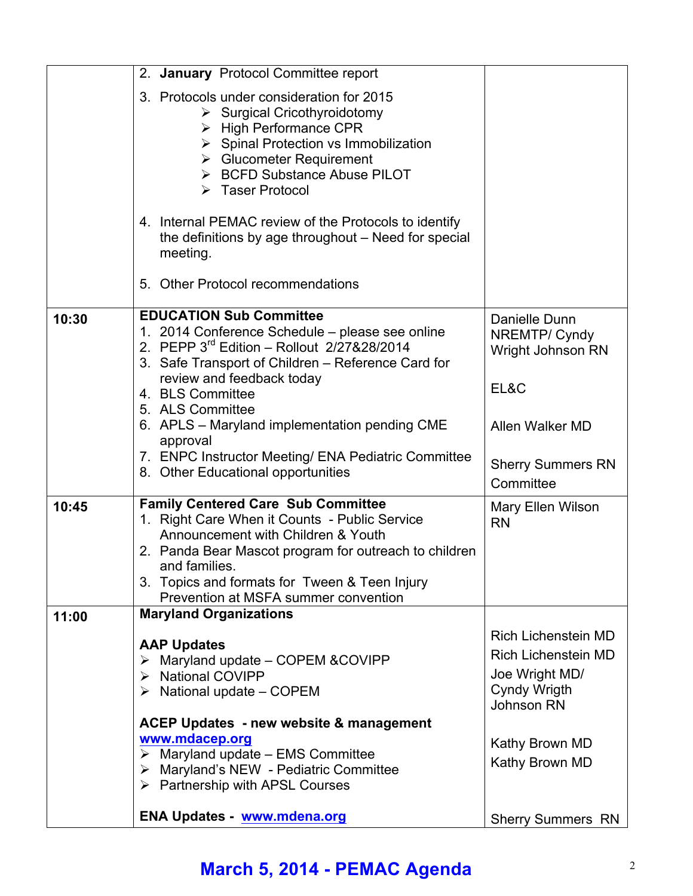|       | 2. January Protocol Committee report                                                                                                                                                                                                                                                                        |                                                                                                                 |
|-------|-------------------------------------------------------------------------------------------------------------------------------------------------------------------------------------------------------------------------------------------------------------------------------------------------------------|-----------------------------------------------------------------------------------------------------------------|
|       | 3. Protocols under consideration for 2015<br>$\triangleright$ Surgical Cricothyroidotomy<br>$\triangleright$ High Performance CPR<br>$\triangleright$ Spinal Protection vs Immobilization<br>$\triangleright$ Glucometer Requirement<br>> BCFD Substance Abuse PILOT<br>> Taser Protocol                    |                                                                                                                 |
|       | 4. Internal PEMAC review of the Protocols to identify<br>the definitions by age throughout – Need for special<br>meeting.                                                                                                                                                                                   |                                                                                                                 |
|       | 5. Other Protocol recommendations                                                                                                                                                                                                                                                                           |                                                                                                                 |
| 10:30 | <b>EDUCATION Sub Committee</b><br>1. 2014 Conference Schedule - please see online<br>2. PEPP 3rd Edition - Rollout 2/27&28/2014<br>3. Safe Transport of Children - Reference Card for<br>review and feedback today<br>4. BLS Committee<br>5. ALS Committee<br>6. APLS - Maryland implementation pending CME | Danielle Dunn<br>NREMTP/ Cyndy<br>Wright Johnson RN<br>EL&C<br>Allen Walker MD                                  |
|       | approval<br>7. ENPC Instructor Meeting/ ENA Pediatric Committee<br>8. Other Educational opportunities                                                                                                                                                                                                       | <b>Sherry Summers RN</b><br>Committee                                                                           |
| 10:45 | <b>Family Centered Care Sub Committee</b><br>1. Right Care When it Counts - Public Service<br>Announcement with Children & Youth<br>2. Panda Bear Mascot program for outreach to children<br>and families.<br>3. Topics and formats for Tween & Teen Injury<br>Prevention at MSFA summer convention         | Mary Ellen Wilson<br><b>RN</b>                                                                                  |
| 11:00 | <b>Maryland Organizations</b>                                                                                                                                                                                                                                                                               |                                                                                                                 |
|       | <b>AAP Updates</b><br>Maryland update – COPEM & COVIPP<br><b>National COVIPP</b><br>➤<br>$\triangleright$ National update – COPEM                                                                                                                                                                           | <b>Rich Lichenstein MD</b><br><b>Rich Lichenstein MD</b><br>Joe Wright MD/<br><b>Cyndy Wrigth</b><br>Johnson RN |
|       | <b>ACEP Updates - new website &amp; management</b><br>www.mdacep.org<br>$\triangleright$ Maryland update - EMS Committee<br>> Maryland's NEW - Pediatric Committee<br>> Partnership with APSL Courses                                                                                                       | Kathy Brown MD<br>Kathy Brown MD                                                                                |
|       | <b>ENA Updates - www.mdena.org</b>                                                                                                                                                                                                                                                                          | <b>Sherry Summers RN</b>                                                                                        |

## **March 5, 2014 - PEMAC Agenda** <sup>2</sup>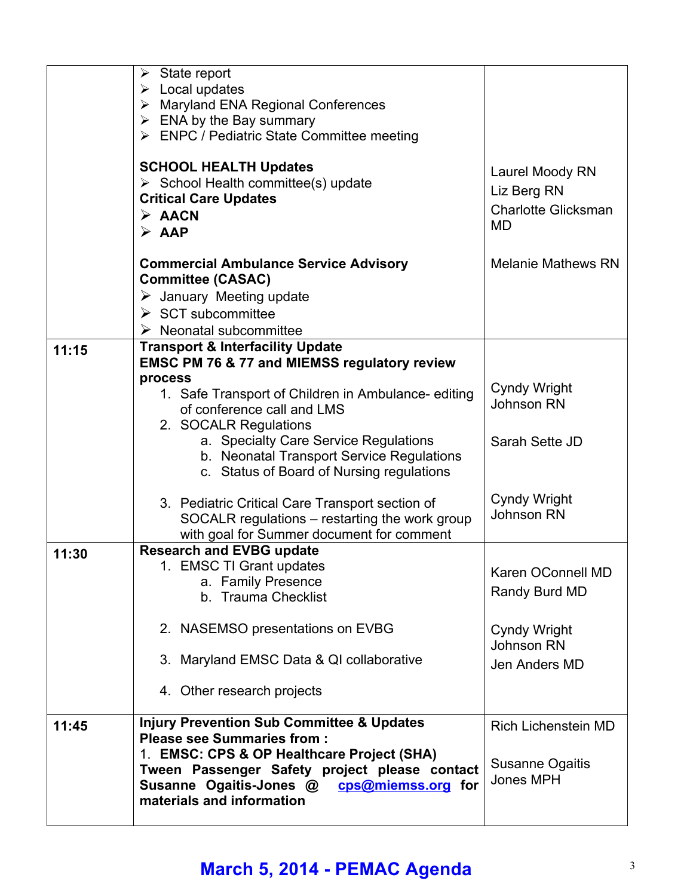|       | $\triangleright$ State report<br>$\triangleright$ Local updates<br>$\triangleright$ Maryland ENA Regional Conferences                                                     |                                                                           |
|-------|---------------------------------------------------------------------------------------------------------------------------------------------------------------------------|---------------------------------------------------------------------------|
|       | $\triangleright$ ENA by the Bay summary<br>> ENPC / Pediatric State Committee meeting                                                                                     |                                                                           |
|       | <b>SCHOOL HEALTH Updates</b><br>$\triangleright$ School Health committee(s) update<br><b>Critical Care Updates</b><br>$\triangleright$ AACN<br>$\triangleright$ AAP       | Laurel Moody RN<br>Liz Berg RN<br><b>Charlotte Glicksman</b><br><b>MD</b> |
|       | <b>Commercial Ambulance Service Advisory</b><br><b>Committee (CASAC)</b><br>$\triangleright$ January Meeting update<br>$\triangleright$ SCT subcommittee                  | <b>Melanie Mathews RN</b>                                                 |
|       | Neonatal subcommittee                                                                                                                                                     |                                                                           |
| 11:15 | <b>Transport &amp; Interfacility Update</b><br><b>EMSC PM 76 &amp; 77 and MIEMSS regulatory review</b><br>process                                                         |                                                                           |
|       | 1. Safe Transport of Children in Ambulance-editing<br>of conference call and LMS                                                                                          | <b>Cyndy Wright</b><br>Johnson RN                                         |
|       | 2. SOCALR Regulations<br>a. Specialty Care Service Regulations<br>b. Neonatal Transport Service Regulations<br>c. Status of Board of Nursing regulations                  | Sarah Sette JD                                                            |
|       | 3. Pediatric Critical Care Transport section of<br>SOCALR regulations - restarting the work group<br>with goal for Summer document for comment                            | <b>Cyndy Wright</b><br>Johnson RN                                         |
| 11:30 | <b>Research and EVBG update</b><br>1. EMSC TI Grant updates<br>a. Family Presence<br>b. Trauma Checklist                                                                  | Karen OConnell MD<br>Randy Burd MD                                        |
|       | 2. NASEMSO presentations on EVBG                                                                                                                                          | <b>Cyndy Wright</b><br>Johnson RN                                         |
|       | 3. Maryland EMSC Data & QI collaborative                                                                                                                                  | Jen Anders MD                                                             |
|       | 4. Other research projects                                                                                                                                                |                                                                           |
| 11:45 | <b>Injury Prevention Sub Committee &amp; Updates</b><br><b>Please see Summaries from:</b>                                                                                 | <b>Rich Lichenstein MD</b>                                                |
|       | 1. EMSC: CPS & OP Healthcare Project (SHA)<br>Tween Passenger Safety project please contact<br>Susanne Ogaitis-Jones @<br>cps@miemss.org for<br>materials and information | Susanne Ogaitis<br>Jones MPH                                              |

## **March 5, 2014 - PEMAC Agenda** <sup>3</sup>